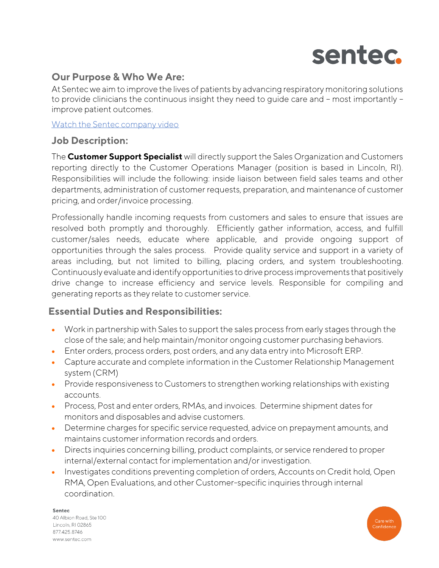

# **Our Purpose & Who We Are:**

At Sentec we aim to improve the lives of patients by advancing respiratory monitoring solutions to provide clinicians the continuous insight they need to guide care and – most importantly – improve patient outcomes.

[Watch the Sentec company video](https://www.youtube.com/watch?v=yw2ptWs1HFI)

### **Job Description:**

The **Customer Support Specialist** will directly support the Sales Organization and Customers reporting directly to the Customer Operations Manager (position is based in Lincoln, RI). Responsibilities will include the following: inside liaison between field sales teams and other departments, administration of customer requests, preparation, and maintenance of customer pricing, and order/invoice processing.

Professionally handle incoming requests from customers and sales to ensure that issues are resolved both promptly and thoroughly. Efficiently gather information, access, and fulfill customer/sales needs, educate where applicable, and provide ongoing support of opportunities through the sales process. Provide quality service and support in a variety of areas including, but not limited to billing, placing orders, and system troubleshooting. Continuously evaluate and identify opportunities to drive process improvements that positively drive change to increase efficiency and service levels. Responsible for compiling and generating reports as they relate to customer service.

## **Essential Duties and Responsibilities:**

- Work in partnership with Sales to support the sales process from early stages through the close of the sale; and help maintain/monitor ongoing customer purchasing behaviors.
- Enter orders, process orders, post orders, and any data entry into Microsoft ERP.
- Capture accurate and complete information in the Customer Relationship Management system (CRM)
- Provide responsiveness to Customers to strengthen working relationships with existing accounts.
- Process, Post and enter orders, RMAs, and invoices. Determine shipment dates for monitors and disposables and advise customers.
- Determine charges for specific service requested, advice on prepayment amounts, and maintains customer information records and orders.
- Directs inquiries concerning billing, product complaints, or service rendered to proper internal/external contact for implementation and/or investigation.
- Investigates conditions preventing completion of orders, Accounts on Credit hold, Open RMA, Open Evaluations, and other Customer-specific inquiries through internal coordination.

Sentec 40 Albion Road, Ste 100 Lincoln, RI 02865 877.425.8746 www.sentec.com